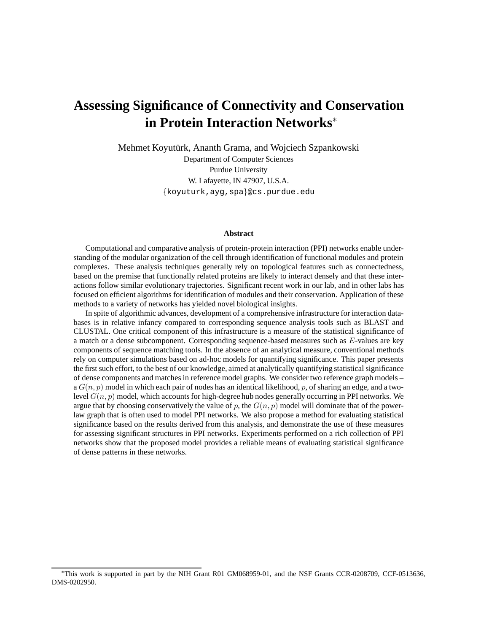# **Assessing Significance of Connectivity and Conservation in Protein Interaction Networks**<sup>∗</sup>

Mehmet Koyutürk, Ananth Grama, and Wojciech Szpankowski Department of Computer Sciences Purdue University W. Lafayette, IN 47907, U.S.A. {koyuturk,ayg,spa}@cs.purdue.edu

#### **Abstract**

Computational and comparative analysis of protein-protein interaction (PPI) networks enable understanding of the modular organization of the cell through identification of functional modules and protein complexes. These analysis techniques generally rely on topological features such as connectedness, based on the premise that functionally related proteins are likely to interact densely and that these interactions follow similar evolutionary trajectories. Significant recent work in our lab, and in other labs has focused on efficient algorithms for identification of modules and their conservation. Application of these methods to a variety of networks has yielded novel biological insights.

In spite of algorithmic advances, development of a comprehensive infrastructure for interaction databases is in relative infancy compared to corresponding sequence analysis tools such as BLAST and CLUSTAL. One critical component of this infrastructure is a measure of the statistical significance of a match or a dense subcomponent. Corresponding sequence-based measures such as E-values are key components of sequence matching tools. In the absence of an analytical measure, conventional methods rely on computer simulations based on ad-hoc models for quantifying significance. This paper presents the first such effort, to the best of our knowledge, aimed at analytically quantifying statistical significance of dense components and matches in reference model graphs. We consider two reference graph models – a  $G(n, p)$  model in which each pair of nodes has an identical likelihood, p, of sharing an edge, and a twolevel  $G(n, p)$  model, which accounts for high-degree hub nodes generally occurring in PPI networks. We argue that by choosing conservatively the value of p, the  $G(n, p)$  model will dominate that of the powerlaw graph that is often used to model PPI networks. We also propose a method for evaluating statistical significance based on the results derived from this analysis, and demonstrate the use of these measures for assessing significant structures in PPI networks. Experiments performed on a rich collection of PPI networks show that the proposed model provides a reliable means of evaluating statistical significance of dense patterns in these networks.

<sup>∗</sup>This work is supported in part by the NIH Grant R01 GM068959-01, and the NSF Grants CCR-0208709, CCF-0513636, DMS-0202950.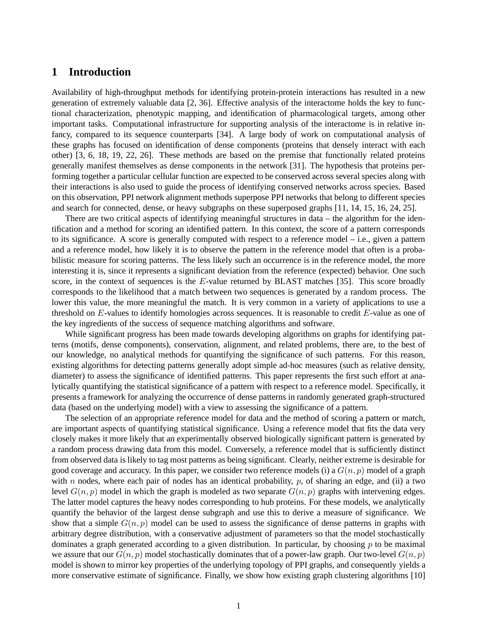## **1 Introduction**

Availability of high-throughput methods for identifying protein-protein interactions has resulted in a new generation of extremely valuable data [2, 36]. Effective analysis of the interactome holds the key to functional characterization, phenotypic mapping, and identification of pharmacological targets, among other important tasks. Computational infrastructure for supporting analysis of the interactome is in relative infancy, compared to its sequence counterparts [34]. A large body of work on computational analysis of these graphs has focused on identification of dense components (proteins that densely interact with each other) [3, 6, 18, 19, 22, 26]. These methods are based on the premise that functionally related proteins generally manifest themselves as dense components in the network [31]. The hypothesis that proteins performing together a particular cellular function are expected to be conserved across several species along with their interactions is also used to guide the process of identifying conserved networks across species. Based on this observation, PPI network alignment methods superpose PPI networks that belong to different species and search for connected, dense, or heavy subgraphs on these superposed graphs [11, 14, 15, 16, 24, 25].

There are two critical aspects of identifying meaningful structures in data – the algorithm for the identification and a method for scoring an identified pattern. In this context, the score of a pattern corresponds to its significance. A score is generally computed with respect to a reference model – i.e., given a pattern and a reference model, how likely it is to observe the pattern in the reference model that often is a probabilistic measure for scoring patterns. The less likely such an occurrence is in the reference model, the more interesting it is, since it represents a significant deviation from the reference (expected) behavior. One such score, in the context of sequences is the E-value returned by BLAST matches [35]. This score broadly corresponds to the likelihood that a match between two sequences is generated by a random process. The lower this value, the more meaningful the match. It is very common in a variety of applications to use a threshold on  $E$ -values to identify homologies across sequences. It is reasonable to credit  $E$ -value as one of the key ingredients of the success of sequence matching algorithms and software.

While significant progress has been made towards developing algorithms on graphs for identifying patterns (motifs, dense components), conservation, alignment, and related problems, there are, to the best of our knowledge, no analytical methods for quantifying the significance of such patterns. For this reason, existing algorithms for detecting patterns generally adopt simple ad-hoc measures (such as relative density, diameter) to assess the significance of identified patterns. This paper represents the first such effort at analytically quantifying the statistical significance of a pattern with respect to a reference model. Specifically, it presents a framework for analyzing the occurrence of dense patterns in randomly generated graph-structured data (based on the underlying model) with a view to assessing the significance of a pattern.

The selection of an appropriate reference model for data and the method of scoring a pattern or match, are important aspects of quantifying statistical significance. Using a reference model that fits the data very closely makes it more likely that an experimentally observed biologically significant pattern is generated by a random process drawing data from this model. Conversely, a reference model that is sufficiently distinct from observed data is likely to tag most patterns as being significant. Clearly, neither extreme is desirable for good coverage and accuracy. In this paper, we consider two reference models (i) a  $G(n, p)$  model of a graph with n nodes, where each pair of nodes has an identical probability,  $p$ , of sharing an edge, and (ii) a two level  $G(n, p)$  model in which the graph is modeled as two separate  $G(n, p)$  graphs with intervening edges. The latter model captures the heavy nodes corresponding to hub proteins. For these models, we analytically quantify the behavior of the largest dense subgraph and use this to derive a measure of significance. We show that a simple  $G(n, p)$  model can be used to assess the significance of dense patterns in graphs with arbitrary degree distribution, with a conservative adjustment of parameters so that the model stochastically dominates a graph generated according to a given distribution. In particular, by choosing  $p$  to be maximal we assure that our  $G(n, p)$  model stochastically dominates that of a power-law graph. Our two-level  $G(n, p)$ model is shown to mirror key properties of the underlying topology of PPI graphs, and consequently yields a more conservative estimate of significance. Finally, we show how existing graph clustering algorithms [10]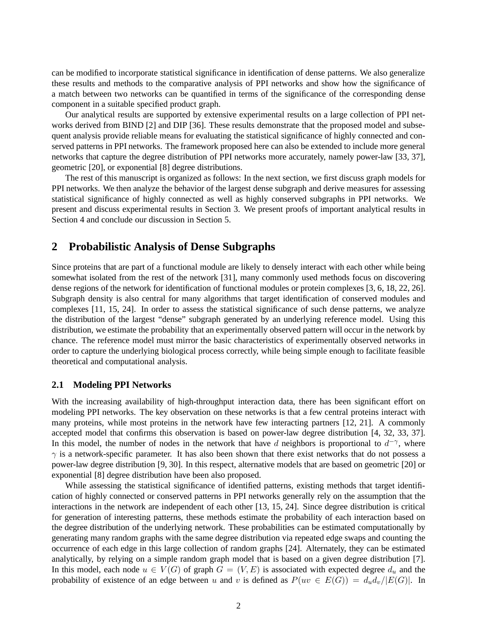can be modified to incorporate statistical significance in identification of dense patterns. We also generalize these results and methods to the comparative analysis of PPI networks and show how the significance of a match between two networks can be quantified in terms of the significance of the corresponding dense component in a suitable specified product graph.

Our analytical results are supported by extensive experimental results on a large collection of PPI networks derived from BIND [2] and DIP [36]. These results demonstrate that the proposed model and subsequent analysis provide reliable means for evaluating the statistical significance of highly connected and conserved patterns in PPI networks. The framework proposed here can also be extended to include more general networks that capture the degree distribution of PPI networks more accurately, namely power-law [33, 37], geometric [20], or exponential [8] degree distributions.

The rest of this manuscript is organized as follows: In the next section, we first discuss graph models for PPI networks. We then analyze the behavior of the largest dense subgraph and derive measures for assessing statistical significance of highly connected as well as highly conserved subgraphs in PPI networks. We present and discuss experimental results in Section 3. We present proofs of important analytical results in Section 4 and conclude our discussion in Section 5.

## **2 Probabilistic Analysis of Dense Subgraphs**

Since proteins that are part of a functional module are likely to densely interact with each other while being somewhat isolated from the rest of the network [31], many commonly used methods focus on discovering dense regions of the network for identification of functional modules or protein complexes [3, 6, 18, 22, 26]. Subgraph density is also central for many algorithms that target identification of conserved modules and complexes [11, 15, 24]. In order to assess the statistical significance of such dense patterns, we analyze the distribution of the largest "dense" subgraph generated by an underlying reference model. Using this distribution, we estimate the probability that an experimentally observed pattern will occur in the network by chance. The reference model must mirror the basic characteristics of experimentally observed networks in order to capture the underlying biological process correctly, while being simple enough to facilitate feasible theoretical and computational analysis.

#### **2.1 Modeling PPI Networks**

With the increasing availability of high-throughput interaction data, there has been significant effort on modeling PPI networks. The key observation on these networks is that a few central proteins interact with many proteins, while most proteins in the network have few interacting partners [12, 21]. A commonly accepted model that confirms this observation is based on power-law degree distribution [4, 32, 33, 37]. In this model, the number of nodes in the network that have d neighbors is proportional to  $d^{-\gamma}$ , where  $\gamma$  is a network-specific parameter. It has also been shown that there exist networks that do not possess a power-law degree distribution [9, 30]. In this respect, alternative models that are based on geometric [20] or exponential [8] degree distribution have been also proposed.

While assessing the statistical significance of identified patterns, existing methods that target identification of highly connected or conserved patterns in PPI networks generally rely on the assumption that the interactions in the network are independent of each other [13, 15, 24]. Since degree distribution is critical for generation of interesting patterns, these methods estimate the probability of each interaction based on the degree distribution of the underlying network. These probabilities can be estimated computationally by generating many random graphs with the same degree distribution via repeated edge swaps and counting the occurrence of each edge in this large collection of random graphs [24]. Alternately, they can be estimated analytically, by relying on a simple random graph model that is based on a given degree distribution [7]. In this model, each node  $u \in V(G)$  of graph  $G = (V, E)$  is associated with expected degree  $d_u$  and the probability of existence of an edge between u and v is defined as  $P(uv \in E(G)) = d_u d_v / |E(G)|$ . In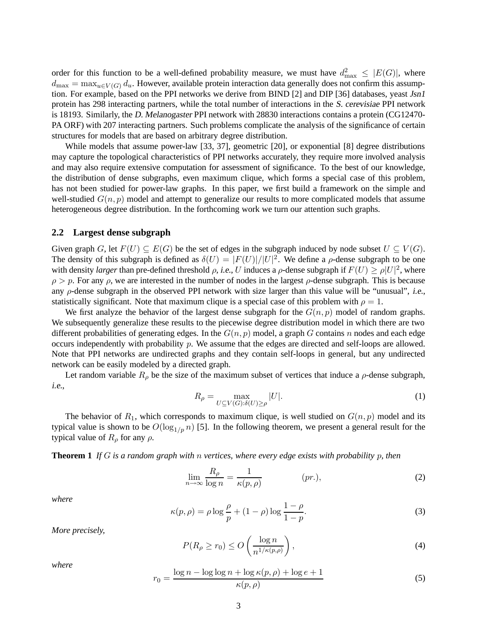order for this function to be a well-defined probability measure, we must have  $d_{\text{max}}^2 \leq |E(G)|$ , where  $d_{\text{max}} = \max_{G \in \mathcal{G}} d_{\text{max}}$ . However, available protein interaction data generally does not confirm this assump $d_{\text{max}} = \max_{u \in V(G)} d_u$ . However, available protein interaction data generally does not confirm this assumption. For example, based on the PPI networks we derive from BIND [2] and DIP [36] databases, yeast Jsn1 protein has 298 interacting partners, while the total number of interactions in the S. cerevisiae PPI network is 18193. Similarly, the D. Melanogaster PPI network with 28830 interactions contains a protein (CG12470- PA ORF) with 207 interacting partners. Such problems complicate the analysis of the significance of certain structures for models that are based on arbitrary degree distribution.

While models that assume power-law [33, 37], geometric [20], or exponential [8] degree distributions may capture the topological characteristics of PPI networks accurately, they require more involved analysis and may also require extensive computation for assessment of significance. To the best of our knowledge, the distribution of dense subgraphs, even maximum clique, which forms a special case of this problem, has not been studied for power-law graphs. In this paper, we first build a framework on the simple and well-studied  $G(n, p)$  model and attempt to generalize our results to more complicated models that assume heterogeneous degree distribution. In the forthcoming work we turn our attention such graphs.

### **2.2 Largest dense subgraph**

Given graph G, let  $F(U) \subseteq E(G)$  be the set of edges in the subgraph induced by node subset  $U \subseteq V(G)$ . The density of this subgraph is defined as  $\delta(U) = |F(U)|/|U|^2$ . We define a *ρ*-dense subgraph to be one<br>with density *larger* than pre-defined threshold *a i.e. U* induces a a-dense subgraph if  $F(U) > \delta |U|^2$  where with density *larger* than pre-defined threshold  $\rho$ , *i.e.*, U induces a  $\rho$ -dense subgraph if  $F(U) \ge \rho |U|^2$ , where  $\rho > n$ . For any  $\rho$  we are interested in the number of nodes in the largest  $\rho$ -dense subgraph. This  $\rho > p$ . For any  $\rho$ , we are interested in the number of nodes in the largest  $\rho$ -dense subgraph. This is because any  $\rho$ -dense subgraph in the observed PPI network with size larger than this value will be "unusual", *i.e.*, statistically significant. Note that maximum clique is a special case of this problem with  $\rho = 1$ .

We first analyze the behavior of the largest dense subgraph for the  $G(n, p)$  model of random graphs. We subsequently generalize these results to the piecewise degree distribution model in which there are two different probabilities of generating edges. In the  $G(n, p)$  model, a graph G contains n nodes and each edge occurs independently with probability  $p$ . We assume that the edges are directed and self-loops are allowed. Note that PPI networks are undirected graphs and they contain self-loops in general, but any undirected network can be easily modeled by a directed graph.

Let random variable  $R_{\rho}$  be the size of the maximum subset of vertices that induce a  $\rho$ -dense subgraph, i.e.,

$$
R_{\rho} = \max_{U \subseteq V(G): \delta(U) \ge \rho} |U|.
$$
 (1)

The behavior of  $R_1$ , which corresponds to maximum clique, is well studied on  $G(n, p)$  model and its typical value is shown to be  $O(\log_{1/p} n)$  [5]. In the following theorem, we present a general result for the typical value of  $R_\rho$  for any  $\rho$ .

**Theorem 1** *If* G *is a random graph with* n *vertices, where every edge exists with probability* p*, then*

$$
\lim_{n \to \infty} \frac{R_{\rho}}{\log n} = \frac{1}{\kappa(p, \rho)} \quad (pr.), \tag{2}
$$

*where*

$$
\kappa(p,\rho) = \rho \log \frac{\rho}{p} + (1-\rho) \log \frac{1-\rho}{1-p}.\tag{3}
$$

*More precisely,*

$$
P(R_{\rho} \ge r_0) \le O\left(\frac{\log n}{n^{1/\kappa(p,\rho)}}\right),\tag{4}
$$

*where*

$$
r_0 = \frac{\log n - \log \log n + \log \kappa(p, \rho) + \log e + 1}{\kappa(p, \rho)}
$$
(5)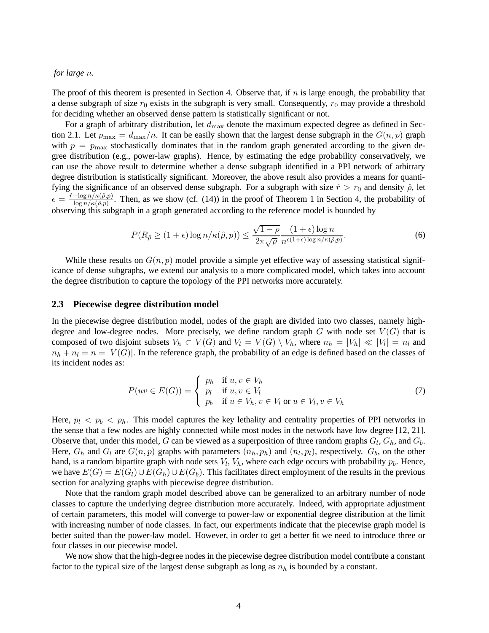*for large* n*.*

The proof of this theorem is presented in Section 4. Observe that, if  $n$  is large enough, the probability that a dense subgraph of size  $r_0$  exists in the subgraph is very small. Consequently,  $r_0$  may provide a threshold for deciding whether an observed dense pattern is statistically significant or not.

For a graph of arbitrary distribution, let  $d_{\text{max}}$  denote the maximum expected degree as defined in Section 2.1. Let  $p_{\text{max}} = d_{\text{max}}/n$ . It can be easily shown that the largest dense subgraph in the  $G(n, p)$  graph with  $p = p_{\text{max}}$  stochastically dominates that in the random graph generated according to the given degree distribution (e.g., power-law graphs). Hence, by estimating the edge probability conservatively, we can use the above result to determine whether a dense subgraph identified in a PPI network of arbitrary degree distribution is statistically significant. Moreover, the above result also provides a means for quantifying the significance of an observed dense subgraph. For a subgraph with size  $\hat{r} > r_0$  and density  $\hat{\rho}$ , let  $\epsilon = \frac{\hat{r} - \log n / \kappa(\hat{\rho}, p)}{\log n / \kappa(\hat{\rho}, p)}$ . Then, as we show (cf. (14)) in the proof of Theorem 1 in Section 4, the probability of observing this subgraph in a graph generated according to the reference model is bounded by observing this subgraph in a graph generated according to the reference model is bounded by

$$
P(R_{\hat{\rho}} \ge (1+\epsilon)\log n/\kappa(\hat{\rho}, p)) \le \frac{\sqrt{1-\rho}}{2\pi\sqrt{\rho}} \frac{(1+\epsilon)\log n}{n^{\epsilon(1+\epsilon)\log n/\kappa(\hat{\rho}, p)}}.
$$
(6)

While these results on  $G(n, p)$  model provide a simple yet effective way of assessing statistical significance of dense subgraphs, we extend our analysis to a more complicated model, which takes into account the degree distribution to capture the topology of the PPI networks more accurately.

#### **2.3 Piecewise degree distribution model**

In the piecewise degree distribution model, nodes of the graph are divided into two classes, namely highdegree and low-degree nodes. More precisely, we define random graph  $G$  with node set  $V(G)$  that is composed of two disjoint subsets  $V_h \subset V(G)$  and  $V_l = V(G) \setminus V_h$ , where  $n_h = |V_h| \ll |V_l| = n_l$  and  $n_h + n_l = n = |V(G)|$ . In the reference graph, the probability of an edge is defined based on the classes of its incident nodes as:

$$
P(uv \in E(G)) = \begin{cases} p_h & \text{if } u, v \in V_h \\ p_l & \text{if } u, v \in V_l \\ p_b & \text{if } u \in V_h, v \in V_l \text{ or } u \in V_l, v \in V_h \end{cases}
$$
(7)

Here,  $p_l < p_b < p_h$ . This model captures the key lethality and centrality properties of PPI networks in the sense that a few nodes are highly connected while most nodes in the network have low degree [12, 21]. Observe that, under this model, G can be viewed as a superposition of three random graphs  $G_l$ ,  $G_h$ , and  $G_b$ . Here,  $G_h$  and  $G_l$  are  $G(n, p)$  graphs with parameters  $(n_h, p_h)$  and  $(n_l, p_l)$ , respectively.  $G_b$ , on the other hand, is a random bipartite graph with node sets  $V_l$ ,  $V_h$ , where each edge occurs with probability  $p_b$ . Hence, we have  $E(G) = E(G_l) \cup E(G_h) \cup E(G_h)$ . This facilitates direct employment of the results in the previous section for analyzing graphs with piecewise degree distribution.

Note that the random graph model described above can be generalized to an arbitrary number of node classes to capture the underlying degree distribution more accurately. Indeed, with appropriate adjustment of certain parameters, this model will converge to power-law or exponential degree distribution at the limit with increasing number of node classes. In fact, our experiments indicate that the piecewise graph model is better suited than the power-law model. However, in order to get a better fit we need to introduce three or four classes in our piecewise model.

We now show that the high-degree nodes in the piecewise degree distribution model contribute a constant factor to the typical size of the largest dense subgraph as long as  $n_h$  is bounded by a constant.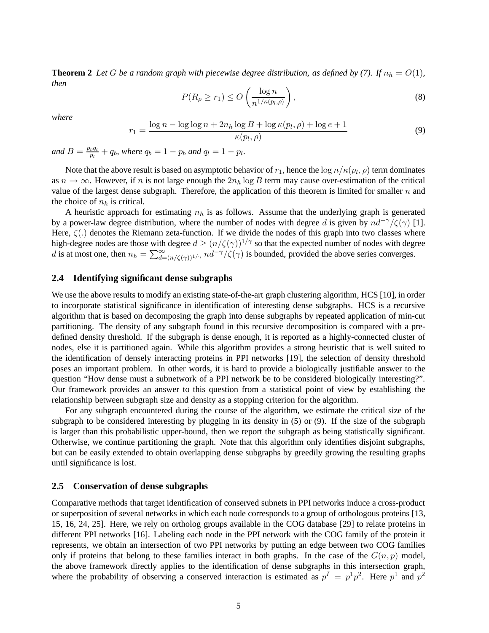**Theorem 2** *Let* G *be a random graph with piecewise degree distribution, as defined by (7). If*  $n_h = O(1)$ *, then*

$$
P(R_{\rho} \ge r_1) \le O\left(\frac{\log n}{n^{1/\kappa(p_l,\rho)}}\right),\tag{8}
$$

*where*

$$
r_1 = \frac{\log n - \log \log n + 2n_h \log B + \log \kappa(p_l, \rho) + \log e + 1}{\kappa(p_l, \rho)}
$$
(9)

 $and B = \frac{p_b q_l}{p_l} + q_b$ , where  $q_b = 1 - p_b$  and  $q_l = 1 - p_l$ .

Note that the above result is based on asymptotic behavior of  $r_1$ , hence the  $\log n / \kappa(p_l, \rho)$  term dominates as  $n \to \infty$ . However, if n is not large enough the  $2n_h \log B$  term may cause over-estimation of the critical value of the largest dense subgraph. Therefore, the application of this theorem is limited for smaller  $n$  and the choice of  $n_h$  is critical.

A heuristic approach for estimating  $n_h$  is as follows. Assume that the underlying graph is generated by a power-law degree distribution, where the number of nodes with degree d is given by  $nd^{-\gamma}/\zeta(\gamma)$  [1].<br>Here,  $\zeta(.)$  denotes the Riemann zeta-function. If we divide the nodes of this graph into two classes where Here,  $\zeta(.)$  denotes the Riemann zeta-function. If we divide the nodes of this graph into two classes where high-degree nodes are those with degree  $d > (n/\zeta(\gamma))^{1/\gamma}$  so that the expected number of nodes with degree high-degree nodes are those with degree  $d \geq (n/\zeta(\gamma))^{1/\gamma}$  so that the expected number of nodes with degree d is at most one, then  $n_{\gamma} = \sum_{\gamma}^{\infty}$ d is at most one, then  $n_h = \sum_{d=(n/\zeta(\gamma))^{1/\gamma}}^{\infty} nd^{-\gamma}/\zeta(\gamma)$  is bounded, provided the above series converges.

#### **2.4 Identifying significant dense subgraphs**

We use the above results to modify an existing state-of-the-art graph clustering algorithm, HCS [10], in order to incorporate statistical significance in identification of interesting dense subgraphs. HCS is a recursive algorithm that is based on decomposing the graph into dense subgraphs by repeated application of min-cut partitioning. The density of any subgraph found in this recursive decomposition is compared with a predefined density threshold. If the subgraph is dense enough, it is reported as a highly-connected cluster of nodes, else it is partitioned again. While this algorithm provides a strong heuristic that is well suited to the identification of densely interacting proteins in PPI networks [19], the selection of density threshold poses an important problem. In other words, it is hard to provide a biologically justifiable answer to the question "How dense must a subnetwork of a PPI network be to be considered biologically interesting?". Our framework provides an answer to this question from a statistical point of view by establishing the relationship between subgraph size and density as a stopping criterion for the algorithm.

For any subgraph encountered during the course of the algorithm, we estimate the critical size of the subgraph to be considered interesting by plugging in its density in (5) or (9). If the size of the subgraph is larger than this probabilistic upper-bound, then we report the subgraph as being statistically significant. Otherwise, we continue partitioning the graph. Note that this algorithm only identifies disjoint subgraphs, but can be easily extended to obtain overlapping dense subgraphs by greedily growing the resulting graphs until significance is lost.

#### **2.5 Conservation of dense subgraphs**

Comparative methods that target identification of conserved subnets in PPI networks induce a cross-product or superposition of several networks in which each node corresponds to a group of orthologous proteins [13, 15, 16, 24, 25]. Here, we rely on ortholog groups available in the COG database [29] to relate proteins in different PPI networks [16]. Labeling each node in the PPI network with the COG family of the protein it represents, we obtain an intersection of two PPI networks by putting an edge between two COG families only if proteins that belong to these families interact in both graphs. In the case of the  $G(n, p)$  model, the above framework directly applies to the identification of dense subgraphs in this intersection graph, where the probability of observing a conserved interaction is estimated as  $p^I = p^1p^2$ . Here  $p^1$  and  $p^2$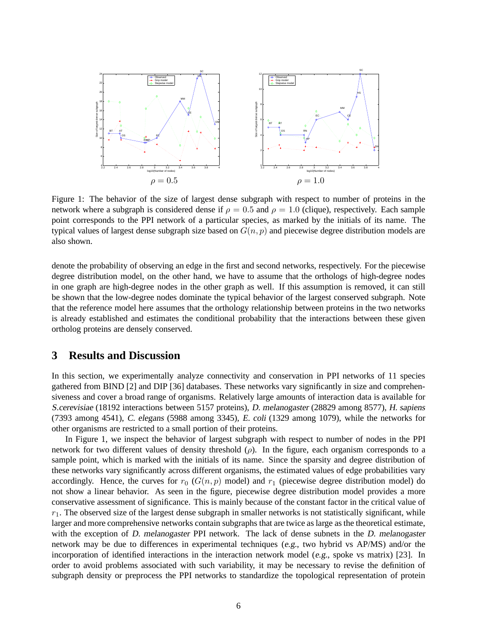

Figure 1: The behavior of the size of largest dense subgraph with respect to number of proteins in the network where a subgraph is considered dense if  $\rho = 0.5$  and  $\rho = 1.0$  (clique), respectively. Each sample point corresponds to the PPI network of a particular species, as marked by the initials of its name. The typical values of largest dense subgraph size based on  $G(n, p)$  and piecewise degree distribution models are also shown.

denote the probability of observing an edge in the first and second networks, respectively. For the piecewise degree distribution model, on the other hand, we have to assume that the orthologs of high-degree nodes in one graph are high-degree nodes in the other graph as well. If this assumption is removed, it can still be shown that the low-degree nodes dominate the typical behavior of the largest conserved subgraph. Note that the reference model here assumes that the orthology relationship between proteins in the two networks is already established and estimates the conditional probability that the interactions between these given ortholog proteins are densely conserved.

## **3 Results and Discussion**

In this section, we experimentally analyze connectivity and conservation in PPI networks of 11 species gathered from BIND [2] and DIP [36] databases. These networks vary significantly in size and comprehensiveness and cover a broad range of organisms. Relatively large amounts of interaction data is available for S.cerevisiae (18192 interactions between 5157 proteins), D. melanogaster (28829 among 8577), H. sapiens (7393 among 4541), C. elegans (5988 among 3345), E. coli (1329 among 1079), while the networks for other organisms are restricted to a small portion of their proteins.

In Figure 1, we inspect the behavior of largest subgraph with respect to number of nodes in the PPI network for two different values of density threshold ( $\rho$ ). In the figure, each organism corresponds to a sample point, which is marked with the initials of its name. Since the sparsity and degree distribution of these networks vary significantly across different organisms, the estimated values of edge probabilities vary accordingly. Hence, the curves for  $r_0$  ( $G(n, p)$  model) and  $r_1$  (piecewise degree distribution model) do not show a linear behavior. As seen in the figure, piecewise degree distribution model provides a more conservative assessment of significance. This is mainly because of the constant factor in the critical value of  $r_1$ . The observed size of the largest dense subgraph in smaller networks is not statistically significant, while larger and more comprehensive networks contain subgraphs that are twice as large as the theoretical estimate, with the exception of D. melanogaster PPI network. The lack of dense subnets in the D. melanogaster network may be due to differences in experimental techniques (e.g., two hybrid vs AP/MS) and/or the incorporation of identified interactions in the interaction network model (e.g., spoke vs matrix) [23]. In order to avoid problems associated with such variability, it may be necessary to revise the definition of subgraph density or preprocess the PPI networks to standardize the topological representation of protein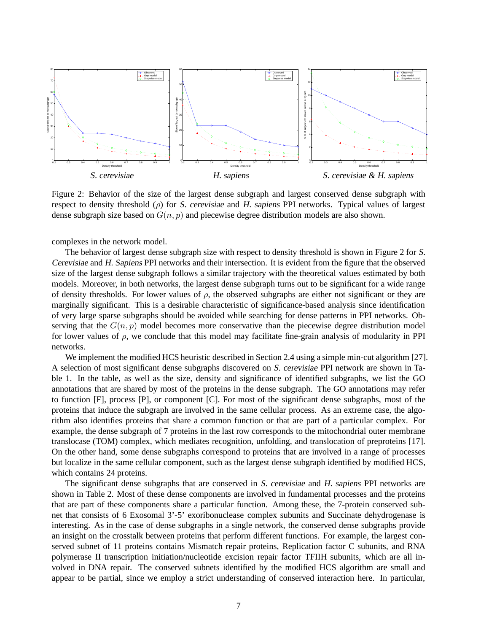

Figure 2: Behavior of the size of the largest dense subgraph and largest conserved dense subgraph with respect to density threshold ( $\rho$ ) for S. cerevisiae and H. sapiens PPI networks. Typical values of largest dense subgraph size based on  $G(n, p)$  and piecewise degree distribution models are also shown.

complexes in the network model.

The behavior of largest dense subgraph size with respect to density threshold is shown in Figure 2 for S. Cerevisiae and H. Sapiens PPI networks and their intersection. It is evident from the figure that the observed size of the largest dense subgraph follows a similar trajectory with the theoretical values estimated by both models. Moreover, in both networks, the largest dense subgraph turns out to be significant for a wide range of density thresholds. For lower values of  $\rho$ , the observed subgraphs are either not significant or they are marginally significant. This is a desirable characteristic of significance-based analysis since identification of very large sparse subgraphs should be avoided while searching for dense patterns in PPI networks. Observing that the  $G(n, p)$  model becomes more conservative than the piecewise degree distribution model for lower values of  $\rho$ , we conclude that this model may facilitate fine-grain analysis of modularity in PPI networks.

We implement the modified HCS heuristic described in Section 2.4 using a simple min-cut algorithm [27]. A selection of most significant dense subgraphs discovered on S. cerevisiae PPI network are shown in Table 1. In the table, as well as the size, density and significance of identified subgraphs, we list the GO annotations that are shared by most of the proteins in the dense subgraph. The GO annotations may refer to function [F], process [P], or component [C]. For most of the significant dense subgraphs, most of the proteins that induce the subgraph are involved in the same cellular process. As an extreme case, the algorithm also identifies proteins that share a common function or that are part of a particular complex. For example, the dense subgraph of 7 proteins in the last row corresponds to the mitochondrial outer membrane translocase (TOM) complex, which mediates recognition, unfolding, and translocation of preproteins [17]. On the other hand, some dense subgraphs correspond to proteins that are involved in a range of processes but localize in the same cellular component, such as the largest dense subgraph identified by modified HCS, which contains 24 proteins.

The significant dense subgraphs that are conserved in S. cerevisiae and H. sapiens PPI networks are shown in Table 2. Most of these dense components are involved in fundamental processes and the proteins that are part of these components share a particular function. Among these, the 7-protein conserved subnet that consists of 6 Exosomal 3'-5' exoribonuclease complex subunits and Succinate dehydrogenase is interesting. As in the case of dense subgraphs in a single network, the conserved dense subgraphs provide an insight on the crosstalk between proteins that perform different functions. For example, the largest conserved subnet of 11 proteins contains Mismatch repair proteins, Replication factor C subunits, and RNA polymerase II transcription initiation/nucleotide excision repair factor TFIIH subunits, which are all involved in DNA repair. The conserved subnets identified by the modified HCS algorithm are small and appear to be partial, since we employ a strict understanding of conserved interaction here. In particular,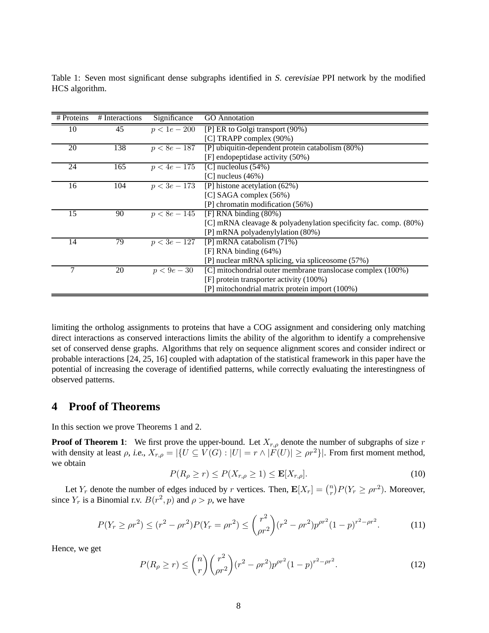| # Proteins | # Interactions | Significance   | <b>GO</b> Annotation                                                |
|------------|----------------|----------------|---------------------------------------------------------------------|
| 10         | 45             | $p < 1e - 200$ | [P] ER to Golgi transport (90%)                                     |
|            |                |                | [C] TRAPP complex (90%)                                             |
| 20         | 138            | $p < 8e - 187$ | [P] ubiquitin-dependent protein catabolism (80%)                    |
|            |                |                | [F] endopeptidase activity (50%)                                    |
| 24         | 165            | $p < 4e - 175$ | [C] nucleolus $(54%)$                                               |
|            |                |                | $[C]$ nucleus $(46%)$                                               |
| 16         | 104            | $p < 3e - 173$ | [P] histone acetylation $(62\%)$                                    |
|            |                |                | $[C]$ SAGA complex $(56%)$                                          |
|            |                |                | $[P]$ chromatin modification $(56%)$                                |
| 15         | 90             | $p < 8e - 145$ | $[F]$ RNA binding $(80\%)$                                          |
|            |                |                | [C] mRNA cleavage $\&$ polyadenylation specificity fac. comp. (80%) |
|            |                |                | [P] mRNA polyadenylylation (80%)                                    |
| 14         | 79             | $p < 3e - 127$ | [P] mRNA catabolism $(71\%)$                                        |
|            |                |                | $[F]$ RNA binding $(64%)$                                           |
|            |                |                | [P] nuclear mRNA splicing, via spliceosome (57%)                    |
| 7          | 20             | $p < 9e - 30$  | [C] mitochondrial outer membrane translocase complex (100%)         |
|            |                |                | [F] protein transporter activity (100%)                             |
|            |                |                | [P] mitochondrial matrix protein import (100%)                      |

Table 1: Seven most significant dense subgraphs identified in S. cerevisiae PPI network by the modified HCS algorithm.

limiting the ortholog assignments to proteins that have a COG assignment and considering only matching direct interactions as conserved interactions limits the ability of the algorithm to identify a comprehensive set of conserved dense graphs. Algorithms that rely on sequence alignment scores and consider indirect or probable interactions [24, 25, 16] coupled with adaptation of the statistical framework in this paper have the potential of increasing the coverage of identified patterns, while correctly evaluating the interestingness of observed patterns.

## **4 Proof of Theorems**

In this section we prove Theorems 1 and 2.

**Proof of Theorem 1:** We first prove the upper-bound. Let  $X_{r,\rho}$  denote the number of subgraphs of size r with density at least  $\rho$ , i.e.,  $X_{r,\rho} = |\{U \subseteq V(G) : |U| = r \wedge |F(U)| \ge \rho r^2\}|$ . From first moment method, we obtain

$$
P(R_{\rho} \ge r) \le P(X_{r,\rho} \ge 1) \le \mathbf{E}[X_{r,\rho}].
$$
\n(10)

Let  $Y_r$  denote the number of edges induced by r vertices. Then,  $\mathbf{E}[X_r] = \binom{n}{r} P(Y_r \ge \rho r^2)$ . Moreover, since  $Y_r$  is a Binomial r.v.  $B(r^2, p)$  and  $\rho > p$ , we have

$$
P(Y_r \ge \rho r^2) \le (r^2 - \rho r^2) P(Y_r = \rho r^2) \le \binom{r^2}{\rho r^2} (r^2 - \rho r^2) p^{\rho r^2} (1 - p)^{r^2 - \rho r^2}.
$$
 (11)

Hence, we get

$$
P(R_{\rho} \ge r) \le {n \choose r} {r^2 \choose \rho r^2} (r^2 - \rho r^2) p^{\rho r^2} (1 - p)^{r^2 - \rho r^2}.
$$
 (12)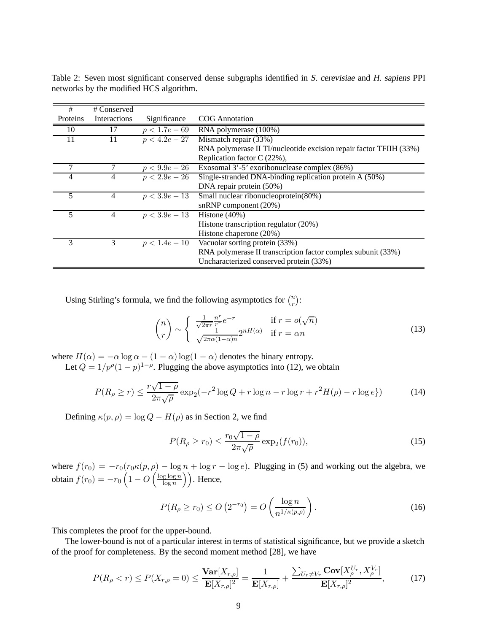Table 2: Seven most significant conserved dense subgraphs identified in S. cerevisiae and H. sapiens PPI networks by the modified HCS algorithm.

| #        | # Conserved  |                 |                                                                    |
|----------|--------------|-----------------|--------------------------------------------------------------------|
| Proteins | Interactions | Significance    | COG Annotation                                                     |
| 10       | 17           | $p < 1.7e - 69$ | RNA polymerase (100%)                                              |
| 11       | 11           | $p < 4.2e - 27$ | Mismatch repair (33%)                                              |
|          |              |                 | RNA polymerase II TI/nucleotide excision repair factor TFIIH (33%) |
|          |              |                 | Replication factor C (22%),                                        |
|          |              | $p < 9.9e - 26$ | Exosomal 3'-5' exoribonuclease complex (86%)                       |
| 4        |              | $p < 2.9e - 26$ | Single-stranded DNA-binding replication protein A (50%)            |
|          |              |                 | DNA repair protein (50%)                                           |
| 5        | 4            | $p < 3.9e - 13$ | Small nuclear ribonucleoprotein(80%)                               |
|          |              |                 | $snRNP$ component (20%)                                            |
| 5        | 4            | $p < 3.9e - 13$ | Histone $(40\%)$                                                   |
|          |              |                 | Histone transcription regulator (20%)                              |
|          |              |                 | Histone chaperone (20%)                                            |
| 3        | 3            | $p < 1.4e - 10$ | Vacuolar sorting protein (33%)                                     |
|          |              |                 | RNA polymerase II transcription factor complex subunit (33%)       |
|          |              |                 | Uncharacterized conserved protein (33%)                            |

Using Stirling's formula, we find the following asymptotics for  $\binom{n}{r}$ :

$$
\binom{n}{r} \sim \begin{cases} \frac{1}{\sqrt{2\pi r}} \frac{n^r}{r^r} e^{-r} & \text{if } r = o(\sqrt{n})\\ \frac{1}{\sqrt{2\pi \alpha (1-\alpha)n}} 2^{nH(\alpha)} & \text{if } r = \alpha n \end{cases}
$$
(13)

where  $H(\alpha) = -\alpha \log \alpha - (1 - \alpha) \log(1 - \alpha)$  denotes the binary entropy.

Let  $Q = 1/p^{\rho}(1-p)^{1-\rho}$ . Plugging the above asymptotics into (12), we obtain

$$
P(R_{\rho} \ge r) \le \frac{r\sqrt{1-\rho}}{2\pi\sqrt{\rho}} \exp_2(-r^2 \log Q + r \log n - r \log r + r^2 H(\rho) - r \log e)
$$
 (14)

Defining  $\kappa(p, \rho) = \log Q - H(\rho)$  as in Section 2, we find

$$
P(R_{\rho} \ge r_0) \le \frac{r_0 \sqrt{1 - \rho}}{2\pi \sqrt{\rho}} \exp_2(f(r_0)),
$$
\n(15)

where  $f(r_0) = -r_0(r_0\kappa(p,\rho) - \log n + \log r - \log e)$ . Plugging in (5) and working out the algebra, we obtain  $f(r_0) = -r_0 \left(1 - O\left(\frac{\log \log n}{\log n}\right)\right)$  $\log n$  $\big)$ . Hence,

$$
P(R_{\rho} \ge r_0) \le O\left(2^{-r_0}\right) = O\left(\frac{\log n}{n^{1/\kappa(p,\rho)}}\right). \tag{16}
$$

This completes the proof for the upper-bound.

The lower-bound is not of a particular interest in terms of statistical significance, but we provide a sketch of the proof for completeness. By the second moment method [28], we have

$$
P(R_{\rho} < r) \le P(X_{r,\rho} = 0) \le \frac{\text{Var}[X_{r,\rho}]}{\mathbf{E}[X_{r,\rho}]^2} = \frac{1}{\mathbf{E}[X_{r,\rho}]} + \frac{\sum_{U_r \ne V_r} \text{Cov}[X_{\rho}^{U_r}, X_{\rho}^{V_r}]}{\mathbf{E}[X_{r,\rho}]^2},\tag{17}
$$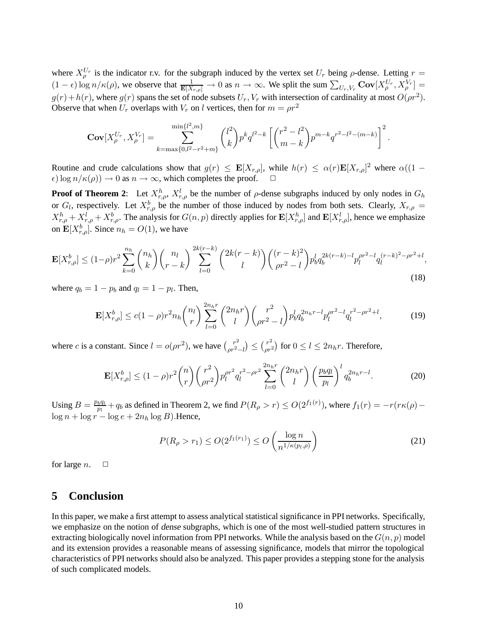where  $X_{\rho}^{U_r}$  is the indicator r.v. for the subgraph induced by the vertex set  $U_r$  being  $\rho$ -dense. Letting  $r = (1 - \epsilon) \log \rho_1(u/\epsilon)$  we observe that  $\frac{1}{\epsilon}$  $(1 - \epsilon) \log n/\kappa(\rho)$ , we observe that  $\frac{1}{\mathbf{E}[X_{r,\rho}]} \to 0$  as  $n \to \infty$ . We split the sum  $\sum_{U_r, V_r} \mathbf{Cov}[X^{U_r}_{\rho}, X^{V_r}_{\rho}] =$  $g(r)+h(r)$ , where  $g(r)$  spans the set of node subsets  $U_r$ ,  $V_r$  with intersection of cardinality at most  $O(\rho r^2)$ . Observe that when  $U_r$  overlaps with  $V_r$  on l vertices, then for  $m = \rho r^2$ 

$$
\mathbf{Cov}[X^{U_r}_{\rho}, X^{V_r}_{\rho}] = \sum_{k=\max\{0, l^2-r^2+m\}}^{\min\{l^2, m\}} \binom{l^2}{k} p^k q^{l^2-k} \left[ \binom{r^2-l^2}{m-k} p^{m-k} q^{r^2-l^2-(m-k)} \right]^2.
$$

Routine and crude calculations show that  $g(r) \leq \mathbf{E}[X_{r,\rho}]$ , while  $h(r) \leq \alpha(r)\mathbf{E}[X_{r,\rho}]^2$  where  $\alpha((1-\epsilon)\log n/\epsilon(\alpha)) \to 0$  as  $n \to \infty$  which completes the proof  $\epsilon)$  log  $n/\kappa(\rho)$   $\to$  0 as  $n \to \infty$ , which completes the proof.  $\Box$ 

**Proof of Theorem 2:** Let  $X_{r,o}^h$ ,  $X_{r,o}^l$  be the number of  $\rho$ -dense subgraphs induced by only nodes in  $G_h$ or  $G_l$ , respectively. Let  $X_{r,\rho}^b$  be the number of those induced by nodes from both sets. Clearly,  $X_{r,\rho} = \nabla h + \nabla l + \nabla h$ . The analyzis for  $C(\infty)$  directly englise for  $\mathbf{E}[X^h]$  and  $\mathbf{E}[X^l]$ . hence we appr  $X_{r,\rho}^h + X_{r,\rho}^l + X_{r,\rho}^b$ . The analysis for  $G(n, p)$  directly applies for  $\mathbf{E}[X_{r,\rho}^h]$  and  $\mathbf{E}[X_{r,\rho}^l]$ , hence we emphasize on  $\mathbf{E}[X_{r,\rho}^b]$ . Since  $n_h = O(1)$ , we have

$$
\mathbf{E}[X_{r,\rho}^b] \le (1-\rho)r^2 \sum_{k=0}^{n_h} \binom{n_h}{k} \binom{n_l}{r-k} \sum_{l=0}^{2k(r-k)} \binom{2k(r-k)}{l} \binom{(r-k)^2}{\rho r^2-l} p_b^l q_b^{2k(r-k)-l} p_l^{\rho r^2-l} q_l^{(r-k)^2-\rho r^2+l},\tag{18}
$$

where  $q_b = 1 - p_b$  and  $q_l = 1 - p_l$ . Then,

$$
\mathbf{E}[X_{r,\rho}^{b}] \le c(1-\rho)r^2n_h\binom{n_l}{r}\sum_{l=0}^{2n_hr}\binom{2n_hr}{l}\binom{r^2}{\rho r^2-l}p_b^lq_b^{2n_hr-l}p_l^{\rho r^2-l}q_l^{r^2-\rho r^2+l},\tag{19}
$$

where *c* is a constant. Since  $l = o(\rho r^2)$ , we have  $\binom{r^2}{\rho r^2 - l} \leq \binom{r^2}{\rho r^2}$  for  $0 \leq l \leq 2n_h r$ . Therefore,

$$
\mathbf{E}[X_{r,\rho}^{b}] \leq (1-\rho)r^{2}\binom{n}{r}\binom{r^{2}}{\rho r^{2}}p_{l}^{\rho r^{2}}q_{l}^{r^{2}-\rho r^{2}}\sum_{l=0}^{2n_{h}r}\binom{2n_{h}r}{l}\left(\frac{p_{b}q_{l}}{p_{l}}\right)^{l}q_{b}^{2n_{h}r-l}.\tag{20}
$$

Using  $B = \frac{p_b q_l}{p_l} + q_b$  as defined in Theorem 2, we find  $P(R_\rho > r) \leq O(2^{f_1(r)})$ , where  $f_1(r) = -r(r\kappa(\rho) - \log r) \log \frac{1}{r}$  $\log n + \log r - \log e + 2n_h \log B$ ). Hence,

$$
P(R_{\rho} > r_1) \le O(2^{f_1(r_1)}) \le O\left(\frac{\log n}{n^{1/\kappa(p_l,\rho)}}\right)
$$
 (21)

for large *n*.  $\Box$ 

## **5 Conclusion**

In this paper, we make a first attempt to assess analytical statistical significance in PPI networks. Specifically, we emphasize on the notion of dense subgraphs, which is one of the most well-studied pattern structures in extracting biologically novel information from PPI networks. While the analysis based on the  $G(n, p)$  model and its extension provides a reasonable means of assessing significance, models that mirror the topological characteristics of PPI networks should also be analyzed. This paper provides a stepping stone for the analysis of such complicated models.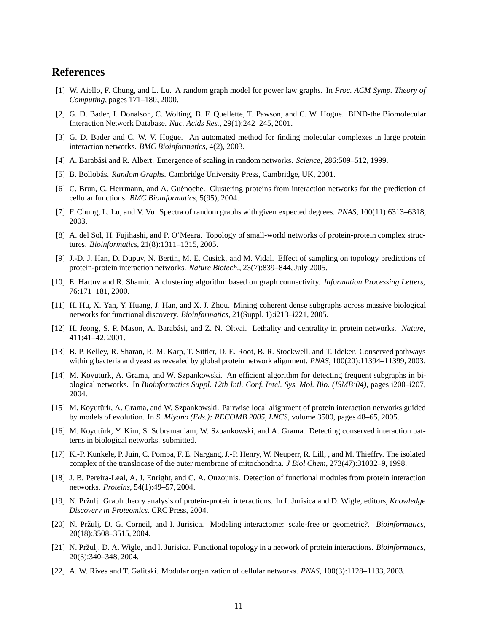## **References**

- [1] W. Aiello, F. Chung, and L. Lu. A random graph model for power law graphs. In *Proc. ACM Symp. Theory of Computing*, pages 171–180, 2000.
- [2] G. D. Bader, I. Donalson, C. Wolting, B. F. Quellette, T. Pawson, and C. W. Hogue. BIND-the Biomolecular Interaction Network Database. *Nuc. Acids Res.*, 29(1):242–245, 2001.
- [3] G. D. Bader and C. W. V. Hogue. An automated method for finding molecular complexes in large protein interaction networks. *BMC Bioinformatics*, 4(2), 2003.
- [4] A. Barabási and R. Albert. Emergence of scaling in random networks. *Science*, 286:509-512, 1999.
- [5] B. Bollob´as. *Random Graphs*. Cambridge University Press, Cambridge, UK, 2001.
- [6] C. Brun, C. Herrmann, and A. Guénoche. Clustering proteins from interaction networks for the prediction of cellular functions. *BMC Bioinformatics*, 5(95), 2004.
- [7] F. Chung, L. Lu, and V. Vu. Spectra of random graphs with given expected degrees. *PNAS*, 100(11):6313–6318, 2003.
- [8] A. del Sol, H. Fujihashi, and P. O'Meara. Topology of small-world networks of protein-protein complex structures. *Bioinformatics*, 21(8):1311–1315, 2005.
- [9] J.-D. J. Han, D. Dupuy, N. Bertin, M. E. Cusick, and M. Vidal. Effect of sampling on topology predictions of protein-protein interaction networks. *Nature Biotech.*, 23(7):839–844, July 2005.
- [10] E. Hartuv and R. Shamir. A clustering algorithm based on graph connectivity. *Information Processing Letters*, 76:171–181, 2000.
- [11] H. Hu, X. Yan, Y. Huang, J. Han, and X. J. Zhou. Mining coherent dense subgraphs across massive biological networks for functional discovery. *Bioinformatics*, 21(Suppl. 1):i213–i221, 2005.
- [12] H. Jeong, S. P. Mason, A. Barab´asi, and Z. N. Oltvai. Lethality and centrality in protein networks. *Nature*, 411:41–42, 2001.
- [13] B. P. Kelley, R. Sharan, R. M. Karp, T. Sittler, D. E. Root, B. R. Stockwell, and T. Ideker. Conserved pathways withing bacteria and yeast as revealed by global protein network alignment. *PNAS*, 100(20):11394–11399, 2003.
- [14] M. Koyutürk, A. Grama, and W. Szpankowski. An efficient algorithm for detecting frequent subgraphs in biological networks. In *Bioinformatics Suppl. 12th Intl. Conf. Intel. Sys. Mol. Bio. (ISMB'04)*, pages i200–i207, 2004.
- [15] M. Koyutürk, A. Grama, and W. Szpankowski. Pairwise local alignment of protein interaction networks guided by models of evolution. In *S. Miyano (Eds.): RECOMB 2005, LNCS*, volume 3500, pages 48–65, 2005.
- [16] M. Koyutürk, Y. Kim, S. Subramaniam, W. Szpankowski, and A. Grama. Detecting conserved interaction patterns in biological networks. submitted.
- [17] K.-P. Künkele, P. Juin, C. Pompa, F. E. Nargang, J.-P. Henry, W. Neuperr, R. Lill, , and M. Thieffry. The isolated complex of the translocase of the outer membrane of mitochondria. *J Biol Chem*, 273(47):31032–9, 1998.
- [18] J. B. Pereira-Leal, A. J. Enright, and C. A. Ouzounis. Detection of functional modules from protein interaction networks. *Proteins*, 54(1):49–57, 2004.
- [19] N. Pržulj. Graph theory analysis of protein-protein interactions. In I. Jurisica and D. Wigle, editors, *Knowledge Discovery in Proteomics*. CRC Press, 2004.
- [20] N. Pržulj, D. G. Corneil, and I. Jurisica. Modeling interactome: scale-free or geometric?. *Bioinformatics*, 20(18):3508–3515, 2004.
- [21] N. Pržulj, D. A. Wigle, and I. Jurisica. Functional topology in a network of protein interactions. *Bioinformatics*, 20(3):340–348, 2004.
- [22] A. W. Rives and T. Galitski. Modular organization of cellular networks. *PNAS*, 100(3):1128–1133, 2003.